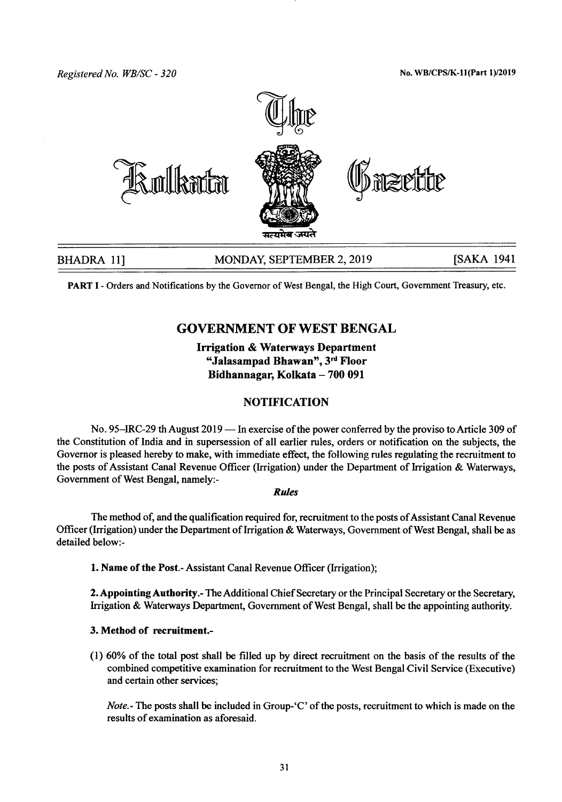*Registered No. WBlse - 320* No. WB/CPS/K-ll(Part *1)/2019*



PART I - Orders and Notifications by the Governor of West Bengal, the High Court, Government Treasury, etc.

# GOVERNMENT OF WEST BENGAL

# Irrigation & Waterways Department "Jalasampad Bhawan", 3rd Floor Bidhannagar, Kolkata - 700 091

## **NOTIFICATION**

No. 95–IRC-29 th August 2019 — In exercise of the power conferred by the proviso to Article 309 of the Constitution of India and in supersession of all earlier rules, orders or notification on the subjects, the Governor is pleased hereby to make, with immediate effect, the following rules regulating the recruitment to the posts of Assistant Canal Revenue Officer (Irrigation) under the Department of Irrigation & Waterways, Government of West Bengal, namely:-

#### *Rules*

The method of, and the qualification required for, recruitment to the posts of Assistant Canal Revenue Officer (Irrigation) under the Department of Irrigation & Waterways, Government of West Bengal, shall be as detailed below.-

1.Name of the Post.- Assistant Canal Revenue Officer (Irrigation);

2. Appointing Authority.- The Additional Chief Secretary or the Principal Secretary or the Secretary, Irrigation & Waterways Department, Government of West Bengal, shall be the appointing authority.

### 3. Method of recruitment.-

(I) 60% of the total post shall be filled up by direct recruitment on the basis of the results of the combined competitive examination for recruitment to the West Bengal Civil Service (Executive) and certain other services;

*Note*.- The posts shall be included in Group-'C' of the posts, recruitment to which is made on the results of examination as aforesaid.